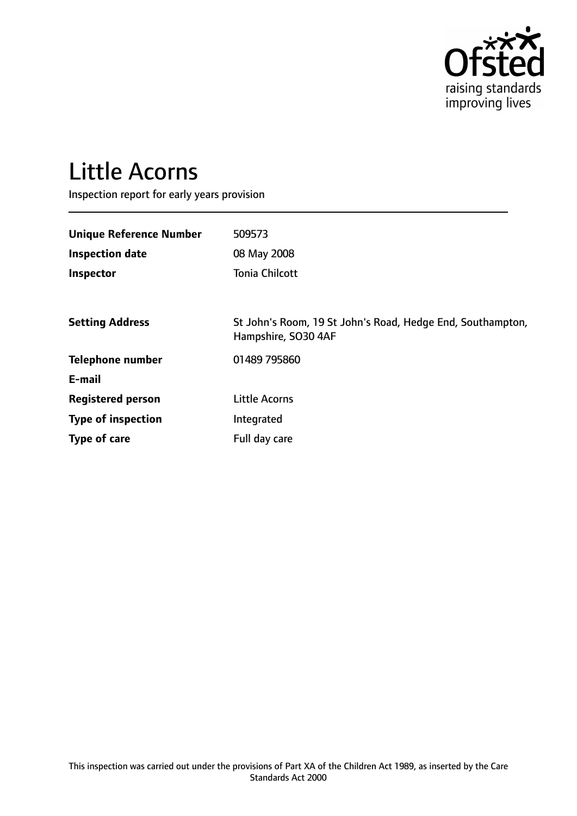

# Little Acorns

Inspection report for early years provision

| <b>Unique Reference Number</b> | 509573                                                                            |
|--------------------------------|-----------------------------------------------------------------------------------|
| <b>Inspection date</b>         | 08 May 2008                                                                       |
| Inspector                      | <b>Tonia Chilcott</b>                                                             |
|                                |                                                                                   |
| <b>Setting Address</b>         | St John's Room, 19 St John's Road, Hedge End, Southampton,<br>Hampshire, SO30 4AF |
| <b>Telephone number</b>        | 01489 795860                                                                      |
| E-mail                         |                                                                                   |
| <b>Registered person</b>       | <b>Little Acorns</b>                                                              |
| <b>Type of inspection</b>      | Integrated                                                                        |
| Type of care                   | Full day care                                                                     |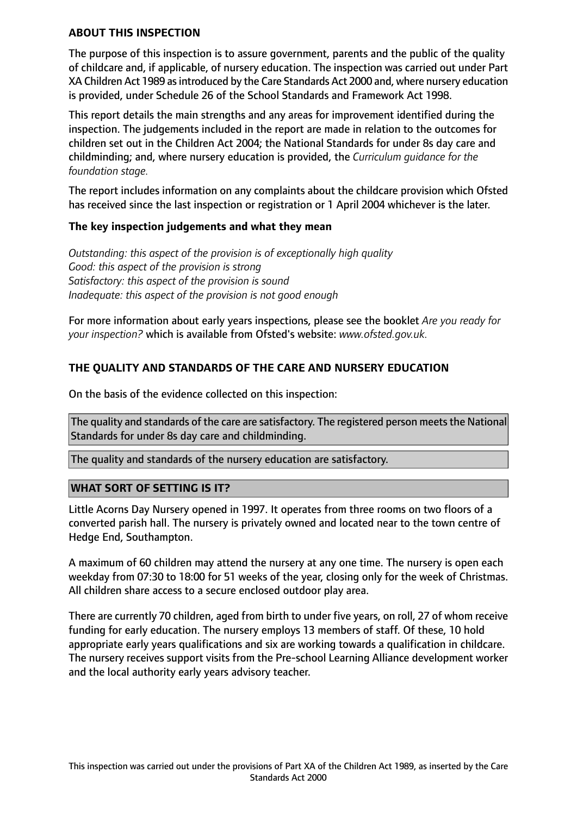## **ABOUT THIS INSPECTION**

The purpose of this inspection is to assure government, parents and the public of the quality of childcare and, if applicable, of nursery education. The inspection was carried out under Part XA Children Act 1989 asintroduced by the Care Standards Act 2000 and, where nursery education is provided, under Schedule 26 of the School Standards and Framework Act 1998.

This report details the main strengths and any areas for improvement identified during the inspection. The judgements included in the report are made in relation to the outcomes for children set out in the Children Act 2004; the National Standards for under 8s day care and childminding; and, where nursery education is provided, the *Curriculum guidance for the foundation stage.*

The report includes information on any complaints about the childcare provision which Ofsted has received since the last inspection or registration or 1 April 2004 whichever is the later.

## **The key inspection judgements and what they mean**

*Outstanding: this aspect of the provision is of exceptionally high quality Good: this aspect of the provision is strong Satisfactory: this aspect of the provision is sound Inadequate: this aspect of the provision is not good enough*

For more information about early years inspections, please see the booklet *Are you ready for your inspection?* which is available from Ofsted's website: *www.ofsted.gov.uk.*

# **THE QUALITY AND STANDARDS OF THE CARE AND NURSERY EDUCATION**

On the basis of the evidence collected on this inspection:

The quality and standards of the care are satisfactory. The registered person meets the National Standards for under 8s day care and childminding.

The quality and standards of the nursery education are satisfactory.

#### **WHAT SORT OF SETTING IS IT?**

Little Acorns Day Nursery opened in 1997. It operates from three rooms on two floors of a converted parish hall. The nursery is privately owned and located near to the town centre of Hedge End, Southampton.

A maximum of 60 children may attend the nursery at any one time. The nursery is open each weekday from 07:30 to 18:00 for 51 weeks of the year, closing only for the week of Christmas. All children share access to a secure enclosed outdoor play area.

There are currently 70 children, aged from birth to under five years, on roll, 27 of whom receive funding for early education. The nursery employs 13 members of staff. Of these, 10 hold appropriate early years qualifications and six are working towards a qualification in childcare. The nursery receives support visits from the Pre-school Learning Alliance development worker and the local authority early years advisory teacher.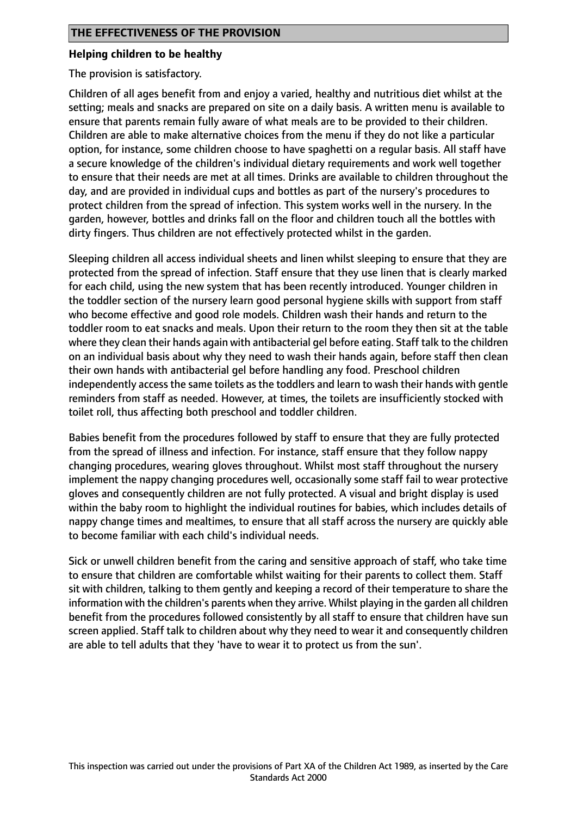## **Helping children to be healthy**

The provision is satisfactory.

Children of all ages benefit from and enjoy a varied, healthy and nutritious diet whilst at the setting; meals and snacks are prepared on site on a daily basis. A written menu is available to ensure that parents remain fully aware of what meals are to be provided to their children. Children are able to make alternative choices from the menu if they do not like a particular option, for instance, some children choose to have spaghetti on a regular basis. All staff have a secure knowledge of the children's individual dietary requirements and work well together to ensure that their needs are met at all times. Drinks are available to children throughout the day, and are provided in individual cups and bottles as part of the nursery's procedures to protect children from the spread of infection. This system works well in the nursery. In the garden, however, bottles and drinks fall on the floor and children touch all the bottles with dirty fingers. Thus children are not effectively protected whilst in the garden.

Sleeping children all access individual sheets and linen whilst sleeping to ensure that they are protected from the spread of infection. Staff ensure that they use linen that is clearly marked for each child, using the new system that has been recently introduced. Younger children in the toddler section of the nursery learn good personal hygiene skills with support from staff who become effective and good role models. Children wash their hands and return to the toddler room to eat snacks and meals. Upon their return to the room they then sit at the table where they clean their hands again with antibacterial gel before eating. Staff talk to the children on an individual basis about why they need to wash their hands again, before staff then clean their own hands with antibacterial gel before handling any food. Preschool children independently access the same toilets as the toddlers and learn to wash their hands with gentle reminders from staff as needed. However, at times, the toilets are insufficiently stocked with toilet roll, thus affecting both preschool and toddler children.

Babies benefit from the procedures followed by staff to ensure that they are fully protected from the spread of illness and infection. For instance, staff ensure that they follow nappy changing procedures, wearing gloves throughout. Whilst most staff throughout the nursery implement the nappy changing procedures well, occasionally some staff fail to wear protective gloves and consequently children are not fully protected. A visual and bright display is used within the baby room to highlight the individual routines for babies, which includes details of nappy change times and mealtimes, to ensure that all staff across the nursery are quickly able to become familiar with each child's individual needs.

Sick or unwell children benefit from the caring and sensitive approach of staff, who take time to ensure that children are comfortable whilst waiting for their parents to collect them. Staff sit with children, talking to them gently and keeping a record of their temperature to share the information with the children's parents when they arrive. Whilst playing in the garden all children benefit from the procedures followed consistently by all staff to ensure that children have sun screen applied. Staff talk to children about why they need to wear it and consequently children are able to tell adults that they 'have to wear it to protect us from the sun'.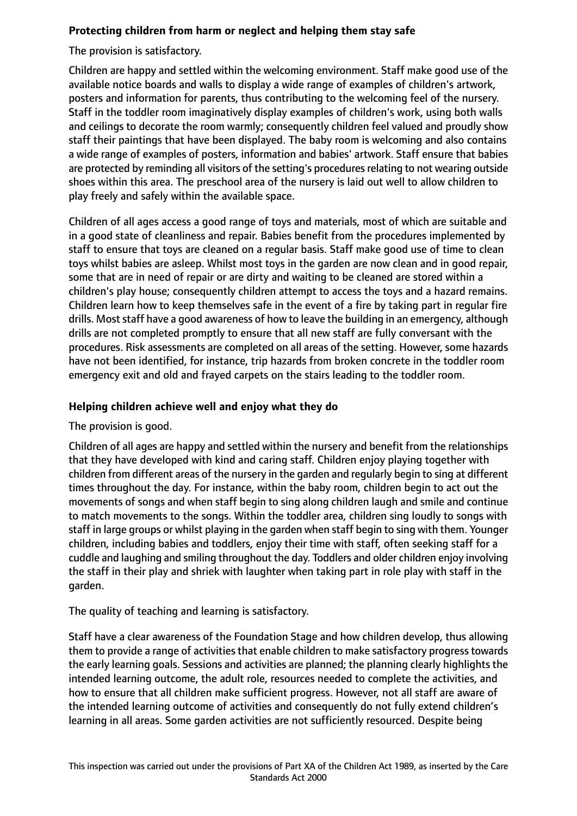# **Protecting children from harm or neglect and helping them stay safe**

The provision is satisfactory.

Children are happy and settled within the welcoming environment. Staff make good use of the available notice boards and walls to display a wide range of examples of children's artwork, posters and information for parents, thus contributing to the welcoming feel of the nursery. Staff in the toddler room imaginatively display examples of children's work, using both walls and ceilings to decorate the room warmly; consequently children feel valued and proudly show staff their paintings that have been displayed. The baby room is welcoming and also contains a wide range of examples of posters, information and babies' artwork. Staff ensure that babies are protected by reminding all visitors of the setting's procedures relating to not wearing outside shoes within this area. The preschool area of the nursery is laid out well to allow children to play freely and safely within the available space.

Children of all ages access a good range of toys and materials, most of which are suitable and in a good state of cleanliness and repair. Babies benefit from the procedures implemented by staff to ensure that toys are cleaned on a regular basis. Staff make good use of time to clean toys whilst babies are asleep. Whilst most toys in the garden are now clean and in good repair, some that are in need of repair or are dirty and waiting to be cleaned are stored within a children's play house; consequently children attempt to access the toys and a hazard remains. Children learn how to keep themselves safe in the event of a fire by taking part in regular fire drills. Most staff have a good awareness of how to leave the building in an emergency, although drills are not completed promptly to ensure that all new staff are fully conversant with the procedures. Risk assessments are completed on all areas of the setting. However, some hazards have not been identified, for instance, trip hazards from broken concrete in the toddler room emergency exit and old and frayed carpets on the stairs leading to the toddler room.

# **Helping children achieve well and enjoy what they do**

The provision is good.

Children of all ages are happy and settled within the nursery and benefit from the relationships that they have developed with kind and caring staff. Children enjoy playing together with children from different areas of the nursery in the garden and regularly begin to sing at different times throughout the day. For instance, within the baby room, children begin to act out the movements of songs and when staff begin to sing along children laugh and smile and continue to match movements to the songs. Within the toddler area, children sing loudly to songs with staff in large groups or whilst playing in the garden when staff begin to sing with them. Younger children, including babies and toddlers, enjoy their time with staff, often seeking staff for a cuddle and laughing and smiling throughout the day. Toddlers and older children enjoy involving the staff in their play and shriek with laughter when taking part in role play with staff in the garden.

The quality of teaching and learning is satisfactory.

Staff have a clear awareness of the Foundation Stage and how children develop, thus allowing them to provide a range of activities that enable children to make satisfactory progress towards the early learning goals. Sessions and activities are planned; the planning clearly highlights the intended learning outcome, the adult role, resources needed to complete the activities, and how to ensure that all children make sufficient progress. However, not all staff are aware of the intended learning outcome of activities and consequently do not fully extend children's learning in all areas. Some garden activities are not sufficiently resourced. Despite being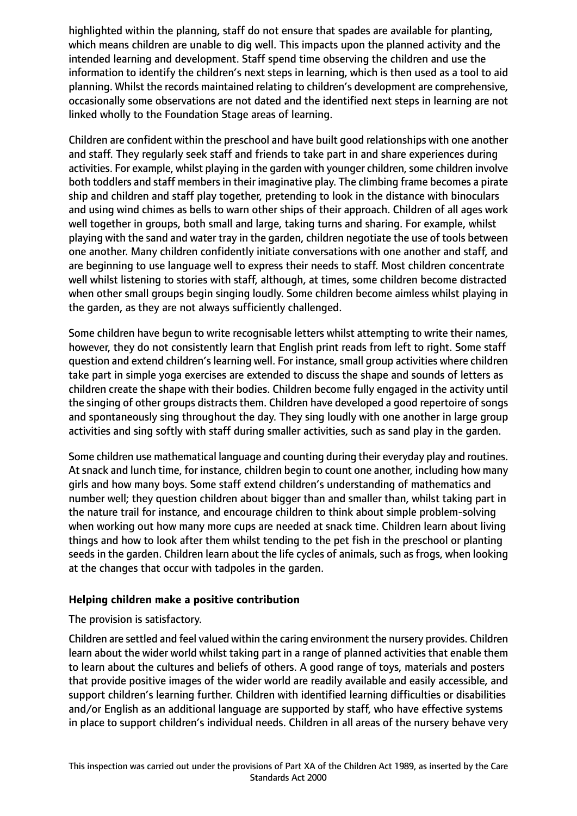highlighted within the planning, staff do not ensure that spades are available for planting, which means children are unable to dig well. This impacts upon the planned activity and the intended learning and development. Staff spend time observing the children and use the information to identify the children's next steps in learning, which is then used as a tool to aid planning. Whilst the records maintained relating to children's development are comprehensive, occasionally some observations are not dated and the identified next steps in learning are not linked wholly to the Foundation Stage areas of learning.

Children are confident within the preschool and have built good relationships with one another and staff. They regularly seek staff and friends to take part in and share experiences during activities. For example, whilst playing in the garden with younger children, some children involve both toddlers and staff members in their imaginative play. The climbing frame becomes a pirate ship and children and staff play together, pretending to look in the distance with binoculars and using wind chimes as bells to warn other ships of their approach. Children of all ages work well together in groups, both small and large, taking turns and sharing. For example, whilst playing with the sand and water tray in the garden, children negotiate the use of tools between one another. Many children confidently initiate conversations with one another and staff, and are beginning to use language well to express their needs to staff. Most children concentrate well whilst listening to stories with staff, although, at times, some children become distracted when other small groups begin singing loudly. Some children become aimless whilst playing in the garden, as they are not always sufficiently challenged.

Some children have begun to write recognisable letters whilst attempting to write their names, however, they do not consistently learn that English print reads from left to right. Some staff question and extend children's learning well. For instance, small group activities where children take part in simple yoga exercises are extended to discuss the shape and sounds of letters as children create the shape with their bodies. Children become fully engaged in the activity until the singing of other groups distracts them. Children have developed a good repertoire of songs and spontaneously sing throughout the day. They sing loudly with one another in large group activities and sing softly with staff during smaller activities, such as sand play in the garden.

Some children use mathematical language and counting during their everyday play and routines. At snack and lunch time, for instance, children begin to count one another, including how many girls and how many boys. Some staff extend children's understanding of mathematics and number well; they question children about bigger than and smaller than, whilst taking part in the nature trail for instance, and encourage children to think about simple problem-solving when working out how many more cups are needed at snack time. Children learn about living things and how to look after them whilst tending to the pet fish in the preschool or planting seeds in the garden. Children learn about the life cycles of animals, such as frogs, when looking at the changes that occur with tadpoles in the garden.

## **Helping children make a positive contribution**

The provision is satisfactory.

Children are settled and feel valued within the caring environment the nursery provides. Children learn about the wider world whilst taking part in a range of planned activities that enable them to learn about the cultures and beliefs of others. A good range of toys, materials and posters that provide positive images of the wider world are readily available and easily accessible, and support children's learning further. Children with identified learning difficulties or disabilities and/or English as an additional language are supported by staff, who have effective systems in place to support children's individual needs. Children in all areas of the nursery behave very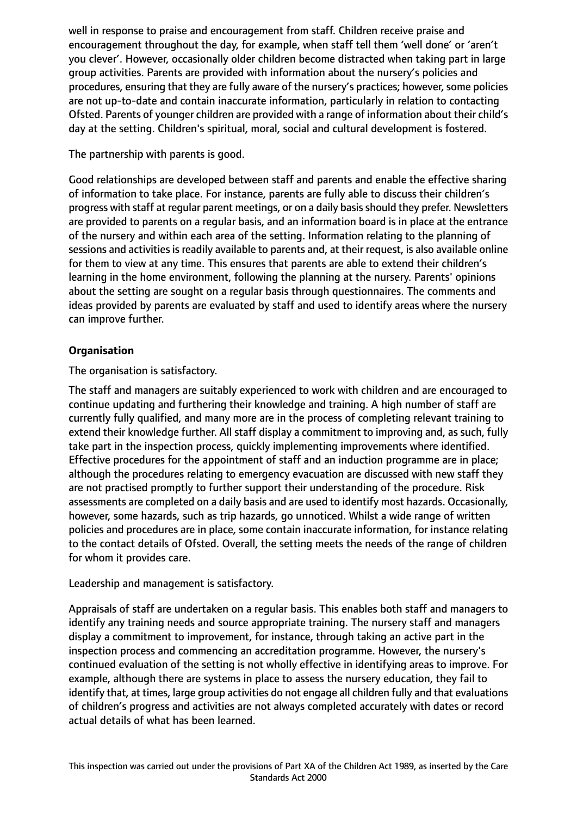well in response to praise and encouragement from staff. Children receive praise and encouragement throughout the day, for example, when staff tell them 'well done' or 'aren't you clever'. However, occasionally older children become distracted when taking part in large group activities. Parents are provided with information about the nursery's policies and procedures, ensuring that they are fully aware of the nursery's practices; however, some policies are not up-to-date and contain inaccurate information, particularly in relation to contacting Ofsted. Parents of younger children are provided with a range of information about their child's day at the setting. Children's spiritual, moral, social and cultural development is fostered.

The partnership with parents is good.

Good relationships are developed between staff and parents and enable the effective sharing of information to take place. For instance, parents are fully able to discuss their children's progress with staff at regular parent meetings, or on a daily basis should they prefer. Newsletters are provided to parents on a regular basis, and an information board is in place at the entrance of the nursery and within each area of the setting. Information relating to the planning of sessions and activities is readily available to parents and, at their request, is also available online for them to view at any time. This ensures that parents are able to extend their children's learning in the home environment, following the planning at the nursery. Parents' opinions about the setting are sought on a regular basis through questionnaires. The comments and ideas provided by parents are evaluated by staff and used to identify areas where the nursery can improve further.

# **Organisation**

The organisation is satisfactory.

The staff and managers are suitably experienced to work with children and are encouraged to continue updating and furthering their knowledge and training. A high number of staff are currently fully qualified, and many more are in the process of completing relevant training to extend their knowledge further. All staff display a commitment to improving and, as such, fully take part in the inspection process, quickly implementing improvements where identified. Effective procedures for the appointment of staff and an induction programme are in place; although the procedures relating to emergency evacuation are discussed with new staff they are not practised promptly to further support their understanding of the procedure. Risk assessments are completed on a daily basis and are used to identify most hazards. Occasionally, however, some hazards, such as trip hazards, go unnoticed. Whilst a wide range of written policies and procedures are in place, some contain inaccurate information, for instance relating to the contact details of Ofsted. Overall, the setting meets the needs of the range of children for whom it provides care.

Leadership and management is satisfactory.

Appraisals of staff are undertaken on a regular basis. This enables both staff and managers to identify any training needs and source appropriate training. The nursery staff and managers display a commitment to improvement, for instance, through taking an active part in the inspection process and commencing an accreditation programme. However, the nursery's continued evaluation of the setting is not wholly effective in identifying areas to improve. For example, although there are systems in place to assess the nursery education, they fail to identify that, at times, large group activities do not engage all children fully and that evaluations of children's progress and activities are not always completed accurately with dates or record actual details of what has been learned.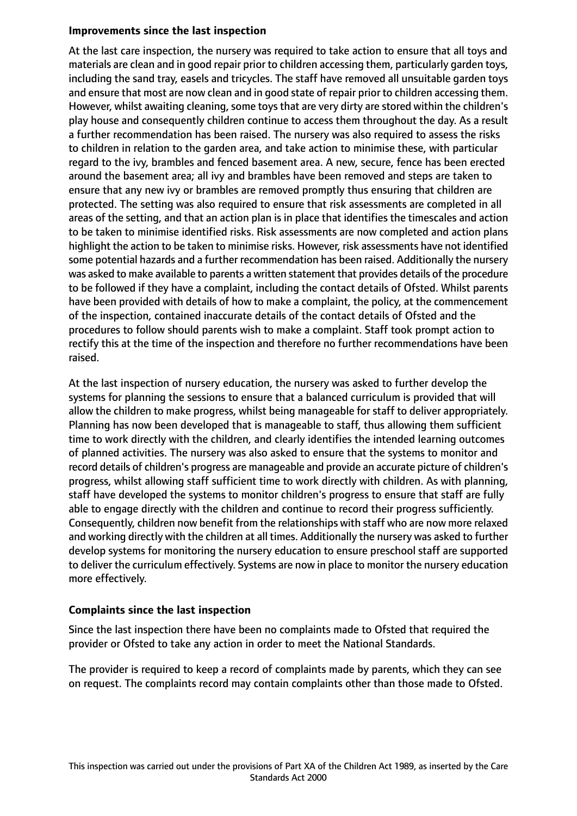## **Improvements since the last inspection**

At the last care inspection, the nursery was required to take action to ensure that all toys and materials are clean and in good repair prior to children accessing them, particularly garden toys, including the sand tray, easels and tricycles. The staff have removed all unsuitable garden toys and ensure that most are now clean and in good state of repair prior to children accessing them. However, whilst awaiting cleaning, some toys that are very dirty are stored within the children's play house and consequently children continue to access them throughout the day. As a result a further recommendation has been raised. The nursery was also required to assess the risks to children in relation to the garden area, and take action to minimise these, with particular regard to the ivy, brambles and fenced basement area. A new, secure, fence has been erected around the basement area; all ivy and brambles have been removed and steps are taken to ensure that any new ivy or brambles are removed promptly thus ensuring that children are protected. The setting was also required to ensure that risk assessments are completed in all areas of the setting, and that an action plan is in place that identifies the timescales and action to be taken to minimise identified risks. Risk assessments are now completed and action plans highlight the action to be taken to minimise risks. However, risk assessments have not identified some potential hazards and a further recommendation has been raised. Additionally the nursery was asked to make available to parents a written statement that provides details of the procedure to be followed if they have a complaint, including the contact details of Ofsted. Whilst parents have been provided with details of how to make a complaint, the policy, at the commencement of the inspection, contained inaccurate details of the contact details of Ofsted and the procedures to follow should parents wish to make a complaint. Staff took prompt action to rectify this at the time of the inspection and therefore no further recommendations have been raised.

At the last inspection of nursery education, the nursery was asked to further develop the systems for planning the sessions to ensure that a balanced curriculum is provided that will allow the children to make progress, whilst being manageable for staff to deliver appropriately. Planning has now been developed that is manageable to staff, thus allowing them sufficient time to work directly with the children, and clearly identifies the intended learning outcomes of planned activities. The nursery was also asked to ensure that the systems to monitor and record details of children's progress are manageable and provide an accurate picture of children's progress, whilst allowing staff sufficient time to work directly with children. As with planning, staff have developed the systems to monitor children's progress to ensure that staff are fully able to engage directly with the children and continue to record their progress sufficiently. Consequently, children now benefit from the relationships with staff who are now more relaxed and working directly with the children at all times. Additionally the nursery was asked to further develop systems for monitoring the nursery education to ensure preschool staff are supported to deliver the curriculum effectively. Systems are now in place to monitor the nursery education more effectively.

# **Complaints since the last inspection**

Since the last inspection there have been no complaints made to Ofsted that required the provider or Ofsted to take any action in order to meet the National Standards.

The provider is required to keep a record of complaints made by parents, which they can see on request. The complaints record may contain complaints other than those made to Ofsted.